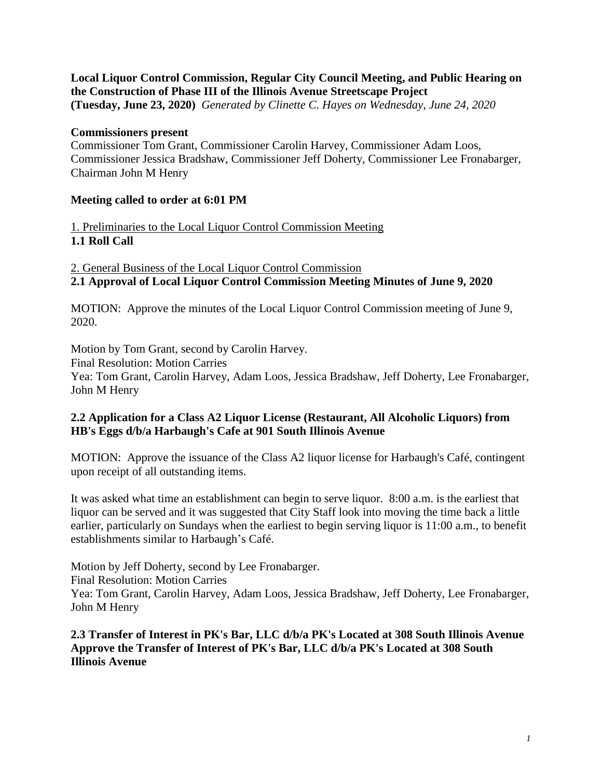**Local Liquor Control Commission, Regular City Council Meeting, and Public Hearing on the Construction of Phase III of the Illinois Avenue Streetscape Project (Tuesday, June 23, 2020)** *Generated by Clinette C. Hayes on Wednesday, June 24, 2020*

## **Commissioners present**

Commissioner Tom Grant, Commissioner Carolin Harvey, Commissioner Adam Loos, Commissioner Jessica Bradshaw, Commissioner Jeff Doherty, Commissioner Lee Fronabarger, Chairman John M Henry

## **Meeting called to order at 6:01 PM**

1. Preliminaries to the Local Liquor Control Commission Meeting **1.1 Roll Call**

2. General Business of the Local Liquor Control Commission **2.1 Approval of Local Liquor Control Commission Meeting Minutes of June 9, 2020**

MOTION: Approve the minutes of the Local Liquor Control Commission meeting of June 9, 2020.

Motion by Tom Grant, second by Carolin Harvey. Final Resolution: Motion Carries Yea: Tom Grant, Carolin Harvey, Adam Loos, Jessica Bradshaw, Jeff Doherty, Lee Fronabarger, John M Henry

## **2.2 Application for a Class A2 Liquor License (Restaurant, All Alcoholic Liquors) from HB's Eggs d/b/a Harbaugh's Cafe at 901 South Illinois Avenue**

MOTION: Approve the issuance of the Class A2 liquor license for Harbaugh's Café, contingent upon receipt of all outstanding items.

It was asked what time an establishment can begin to serve liquor. 8:00 a.m. is the earliest that liquor can be served and it was suggested that City Staff look into moving the time back a little earlier, particularly on Sundays when the earliest to begin serving liquor is 11:00 a.m., to benefit establishments similar to Harbaugh's Café.

Motion by Jeff Doherty, second by Lee Fronabarger.

Final Resolution: Motion Carries

Yea: Tom Grant, Carolin Harvey, Adam Loos, Jessica Bradshaw, Jeff Doherty, Lee Fronabarger, John M Henry

**2.3 Transfer of Interest in PK's Bar, LLC d/b/a PK's Located at 308 South Illinois Avenue Approve the Transfer of Interest of PK's Bar, LLC d/b/a PK's Located at 308 South Illinois Avenue**